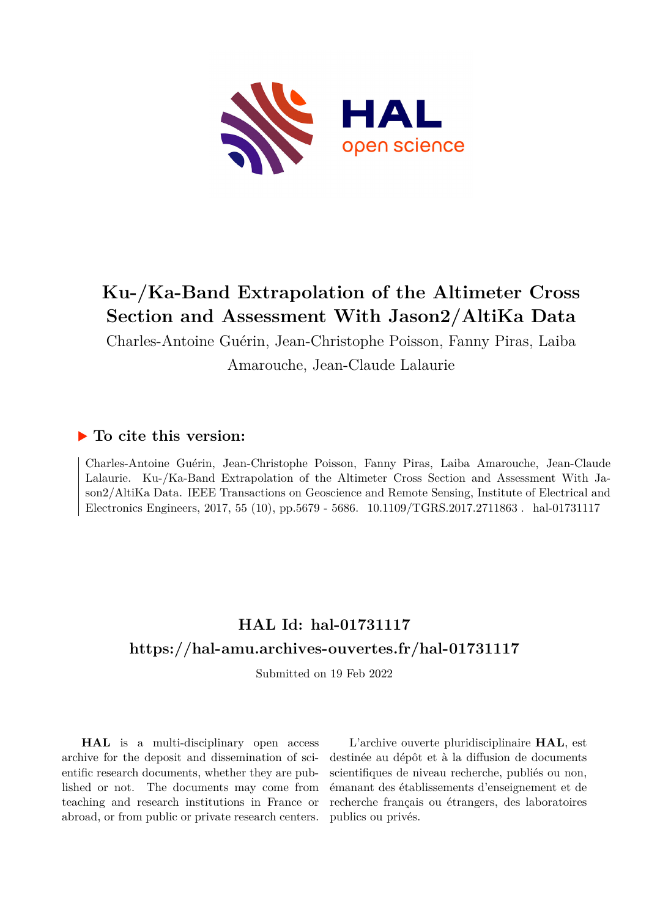

## **Ku-/Ka-Band Extrapolation of the Altimeter Cross Section and Assessment With Jason2/AltiKa Data**

Charles-Antoine Guérin, Jean-Christophe Poisson, Fanny Piras, Laiba Amarouche, Jean-Claude Lalaurie

### **To cite this version:**

Charles-Antoine Guérin, Jean-Christophe Poisson, Fanny Piras, Laiba Amarouche, Jean-Claude Lalaurie. Ku-/Ka-Band Extrapolation of the Altimeter Cross Section and Assessment With Jason2/AltiKa Data. IEEE Transactions on Geoscience and Remote Sensing, Institute of Electrical and Electronics Engineers, 2017, 55 (10), pp.5679 - 5686. 10.1109/TGRS.2017.2711863. hal-01731117

## **HAL Id: hal-01731117 <https://hal-amu.archives-ouvertes.fr/hal-01731117>**

Submitted on 19 Feb 2022

**HAL** is a multi-disciplinary open access archive for the deposit and dissemination of scientific research documents, whether they are published or not. The documents may come from teaching and research institutions in France or abroad, or from public or private research centers.

L'archive ouverte pluridisciplinaire **HAL**, est destinée au dépôt et à la diffusion de documents scientifiques de niveau recherche, publiés ou non, émanant des établissements d'enseignement et de recherche français ou étrangers, des laboratoires publics ou privés.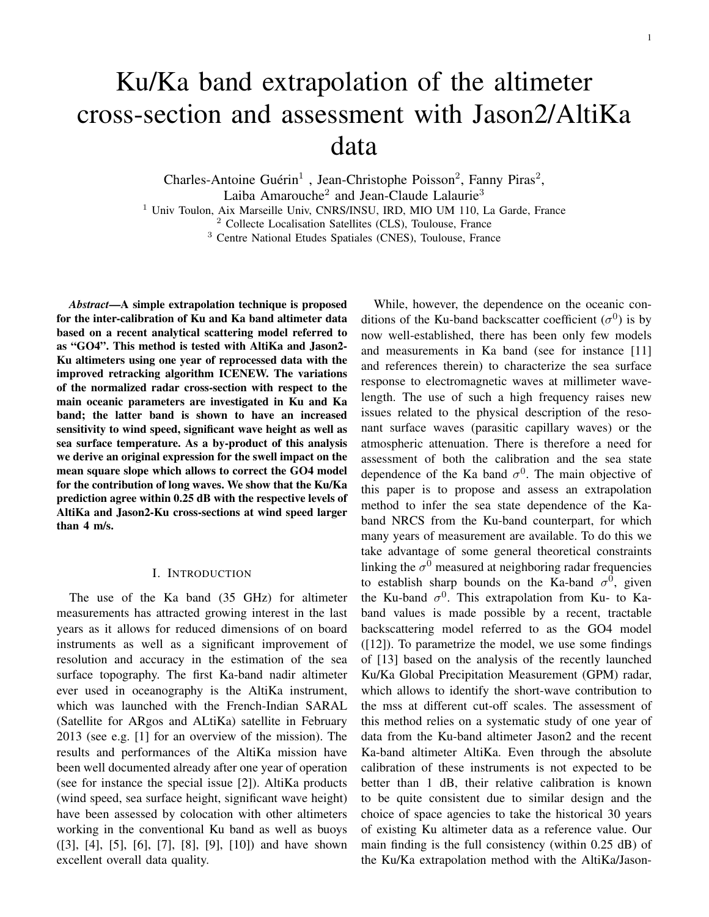# Ku/Ka band extrapolation of the altimeter cross-section and assessment with Jason2/AltiKa data

Charles-Antoine Guérin<sup>1</sup>, Jean-Christophe Poisson<sup>2</sup>, Fanny Piras<sup>2</sup>, Laiba Amarouche<sup>2</sup> and Jean-Claude Lalaurie<sup>3</sup>

<sup>1</sup> Univ Toulon, Aix Marseille Univ, CNRS/INSU, IRD, MIO UM 110, La Garde, France

<sup>2</sup> Collecte Localisation Satellites (CLS), Toulouse, France

<sup>3</sup> Centre National Etudes Spatiales (CNES), Toulouse, France

*Abstract*—A simple extrapolation technique is proposed for the inter-calibration of Ku and Ka band altimeter data based on a recent analytical scattering model referred to as "GO4". This method is tested with AltiKa and Jason2- Ku altimeters using one year of reprocessed data with the improved retracking algorithm ICENEW. The variations of the normalized radar cross-section with respect to the main oceanic parameters are investigated in Ku and Ka band; the latter band is shown to have an increased sensitivity to wind speed, significant wave height as well as sea surface temperature. As a by-product of this analysis we derive an original expression for the swell impact on the mean square slope which allows to correct the GO4 model for the contribution of long waves. We show that the Ku/Ka prediction agree within 0.25 dB with the respective levels of AltiKa and Jason2-Ku cross-sections at wind speed larger than 4 m/s.

#### I. INTRODUCTION

The use of the Ka band (35 GHz) for altimeter measurements has attracted growing interest in the last years as it allows for reduced dimensions of on board instruments as well as a significant improvement of resolution and accuracy in the estimation of the sea surface topography. The first Ka-band nadir altimeter ever used in oceanography is the AltiKa instrument, which was launched with the French-Indian SARAL (Satellite for ARgos and ALtiKa) satellite in February 2013 (see e.g. [1] for an overview of the mission). The results and performances of the AltiKa mission have been well documented already after one year of operation (see for instance the special issue [2]). AltiKa products (wind speed, sea surface height, significant wave height) have been assessed by colocation with other altimeters working in the conventional Ku band as well as buoys ([3], [4], [5], [6], [7], [8], [9], [10]) and have shown excellent overall data quality.

While, however, the dependence on the oceanic conditions of the Ku-band backscatter coefficient  $(\sigma^0)$  is by now well-established, there has been only few models and measurements in Ka band (see for instance [11] and references therein) to characterize the sea surface response to electromagnetic waves at millimeter wavelength. The use of such a high frequency raises new issues related to the physical description of the resonant surface waves (parasitic capillary waves) or the atmospheric attenuation. There is therefore a need for assessment of both the calibration and the sea state dependence of the Ka band  $\sigma^0$ . The main objective of this paper is to propose and assess an extrapolation method to infer the sea state dependence of the Kaband NRCS from the Ku-band counterpart, for which many years of measurement are available. To do this we take advantage of some general theoretical constraints linking the  $\sigma^0$  measured at neighboring radar frequencies to establish sharp bounds on the Ka-band  $\sigma^0$ , given the Ku-band  $\sigma^0$ . This extrapolation from Ku- to Kaband values is made possible by a recent, tractable backscattering model referred to as the GO4 model  $([12])$ . To parametrize the model, we use some findings of [13] based on the analysis of the recently launched Ku/Ka Global Precipitation Measurement (GPM) radar, which allows to identify the short-wave contribution to the mss at different cut-off scales. The assessment of this method relies on a systematic study of one year of data from the Ku-band altimeter Jason2 and the recent Ka-band altimeter AltiKa. Even through the absolute calibration of these instruments is not expected to be better than 1 dB, their relative calibration is known to be quite consistent due to similar design and the choice of space agencies to take the historical 30 years of existing Ku altimeter data as a reference value. Our main finding is the full consistency (within 0.25 dB) of the Ku/Ka extrapolation method with the AltiKa/Jason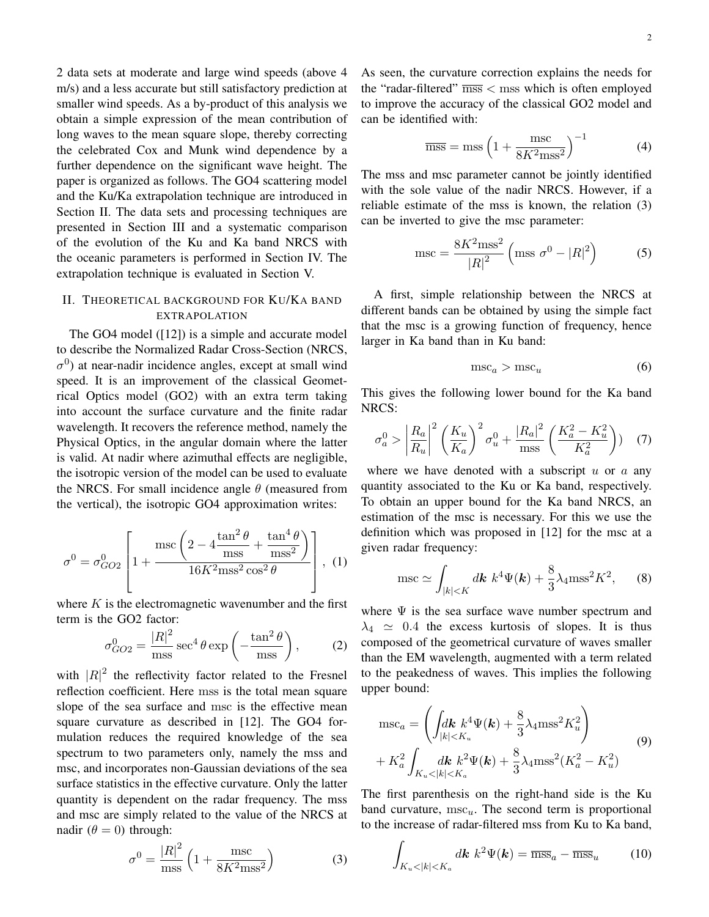2 data sets at moderate and large wind speeds (above 4 m/s) and a less accurate but still satisfactory prediction at smaller wind speeds. As a by-product of this analysis we obtain a simple expression of the mean contribution of long waves to the mean square slope, thereby correcting the celebrated Cox and Munk wind dependence by a further dependence on the significant wave height. The paper is organized as follows. The GO4 scattering model and the Ku/Ka extrapolation technique are introduced in Section II. The data sets and processing techniques are presented in Section III and a systematic comparison of the evolution of the Ku and Ka band NRCS with the oceanic parameters is performed in Section IV. The extrapolation technique is evaluated in Section V.

#### II. THEORETICAL BACKGROUND FOR KU/KA BAND EXTRAPOLATION

The GO4 model ([12]) is a simple and accurate model to describe the Normalized Radar Cross-Section (NRCS,  $\sigma^{0}$ ) at near-nadir incidence angles, except at small wind speed. It is an improvement of the classical Geometrical Optics model (GO2) with an extra term taking into account the surface curvature and the finite radar wavelength. It recovers the reference method, namely the Physical Optics, in the angular domain where the latter is valid. At nadir where azimuthal effects are negligible, the isotropic version of the model can be used to evaluate the NRCS. For small incidence angle  $\theta$  (measured from the vertical), the isotropic GO4 approximation writes:

$$
\sigma^{0} = \sigma_{GO2}^{0} \left[ 1 + \frac{\text{msc} \left( 2 - 4 \frac{\tan^{2} \theta}{\text{ms}} + \frac{\tan^{4} \theta}{\text{ms}^{2}} \right)}{16K^{2} \text{ms}^{2} \cos^{2} \theta} \right], (1)
$$

where  $K$  is the electromagnetic wavenumber and the first term is the GO2 factor:

$$
\sigma_{GO2}^0 = \frac{|R|^2}{\text{mss}} \sec^4 \theta \exp\left(-\frac{\tan^2 \theta}{\text{mss}}\right),\tag{2}
$$

with  $|R|^2$  the reflectivity factor related to the Fresnel reflection coefficient. Here mss is the total mean square slope of the sea surface and msc is the effective mean square curvature as described in [12]. The GO4 formulation reduces the required knowledge of the sea spectrum to two parameters only, namely the mss and msc, and incorporates non-Gaussian deviations of the sea surface statistics in the effective curvature. Only the latter quantity is dependent on the radar frequency. The mss and msc are simply related to the value of the NRCS at nadir  $(\theta = 0)$  through:

$$
\sigma^0 = \frac{|R|^2}{\text{mse}} \left( 1 + \frac{\text{mse}}{8K^2 \text{msg}^2} \right) \tag{3}
$$

As seen, the curvature correction explains the needs for the "radar-filtered"  $\overline{mss}$  < mss which is often employed to improve the accuracy of the classical GO2 model and can be identified with:

$$
\overline{\text{mss}} = \text{mss} \left( 1 + \frac{\text{msc}}{8K^2 \text{mss}^2} \right)^{-1} \tag{4}
$$

The mss and msc parameter cannot be jointly identified with the sole value of the nadir NRCS. However, if a reliable estimate of the mss is known, the relation (3) can be inverted to give the msc parameter:

$$
\text{mse} = \frac{8K^2 \text{msg}^2}{|R|^2} \left( \text{msg } \sigma^0 - |R|^2 \right) \tag{5}
$$

A first, simple relationship between the NRCS at different bands can be obtained by using the simple fact that the msc is a growing function of frequency, hence larger in Ka band than in Ku band:

$$
\mathrm{msc}_a > \mathrm{msc}_u \tag{6}
$$

This gives the following lower bound for the Ka band NRCS:

$$
\sigma_a^0 > \left| \frac{R_a}{R_u} \right|^2 \left( \frac{K_u}{K_a} \right)^2 \sigma_u^0 + \frac{|R_a|^2}{\text{mss}} \left( \frac{K_a^2 - K_u^2}{K_a^2} \right) \tag{7}
$$

where we have denoted with a subscript  $u$  or  $a$  any quantity associated to the Ku or Ka band, respectively. To obtain an upper bound for the Ka band NRCS, an estimation of the msc is necessary. For this we use the definition which was proposed in [12] for the msc at a given radar frequency:

$$
\operatorname{msc} \simeq \int_{|k| < K} d\mathbf{k} \, k^4 \Psi(\mathbf{k}) + \frac{8}{3} \lambda_4 \operatorname{mss}^2 K^2,\qquad(8)
$$

where  $\Psi$  is the sea surface wave number spectrum and  $\lambda_4 \simeq 0.4$  the excess kurtosis of slopes. It is thus composed of the geometrical curvature of waves smaller than the EM wavelength, augmented with a term related to the peakedness of waves. This implies the following upper bound:

$$
\begin{aligned} \text{msc}_a &= \left( \int_{|k| < K_u} dk \, k^4 \Psi(k) + \frac{8}{3} \lambda_4 \text{mss}^2 K_u^2 \right) \\ &+ K_a^2 \int_{K_u < |k| < K_a} dk \, k^2 \Psi(k) + \frac{8}{3} \lambda_4 \text{mss}^2 (K_a^2 - K_u^2) \end{aligned} \tag{9}
$$

The first parenthesis on the right-hand side is the Ku band curvature,  $msc_u$ . The second term is proportional to the increase of radar-filtered mss from Ku to Ka band,

$$
\int_{K_u < |k| < K_a} d\mathbf{k} \, k^2 \Psi(\mathbf{k}) = \overline{\text{mss}}_a - \overline{\text{mss}}_u \tag{10}
$$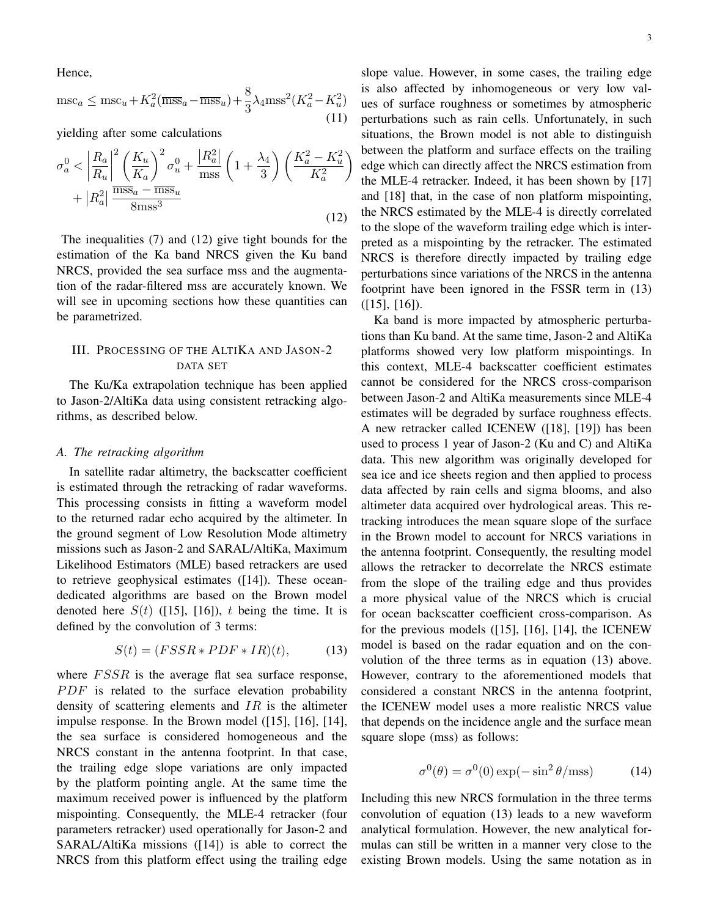Hence,

$$
\mathrm{msc}_a \le \mathrm{msc}_u + K_a^2 (\overline{\mathrm{mss}}_a - \overline{\mathrm{mss}}_u) + \frac{8}{3} \lambda_4 \mathrm{mss}^2 (K_a^2 - K_u^2) \tag{11}
$$

yielding after some calculations

$$
\sigma_a^0 < \left| \frac{R_a}{R_u} \right|^2 \left( \frac{K_u}{K_a} \right)^2 \sigma_u^0 + \frac{|R_a^2|}{\text{mss}} \left( 1 + \frac{\lambda_4}{3} \right) \left( \frac{K_a^2 - K_u^2}{K_a^2} \right) + |R_a^2| \frac{\overline{\text{mss}}_a - \overline{\text{mss}}_u}{8 \text{mss}^3} \tag{12}
$$

The inequalities (7) and (12) give tight bounds for the estimation of the Ka band NRCS given the Ku band NRCS, provided the sea surface mss and the augmentation of the radar-filtered mss are accurately known. We will see in upcoming sections how these quantities can be parametrized.

#### III. PROCESSING OF THE ALTIKA AND JASON-2 DATA SET

The Ku/Ka extrapolation technique has been applied to Jason-2/AltiKa data using consistent retracking algorithms, as described below.

#### *A. The retracking algorithm*

In satellite radar altimetry, the backscatter coefficient is estimated through the retracking of radar waveforms. This processing consists in fitting a waveform model to the returned radar echo acquired by the altimeter. In the ground segment of Low Resolution Mode altimetry missions such as Jason-2 and SARAL/AltiKa, Maximum Likelihood Estimators (MLE) based retrackers are used to retrieve geophysical estimates ([14]). These oceandedicated algorithms are based on the Brown model denoted here  $S(t)$  ([15], [16]), t being the time. It is defined by the convolution of 3 terms:

$$
S(t) = (FSSR * PDF * IR)(t), \tag{13}
$$

where  $FSSR$  is the average flat sea surface response,  $PDF$  is related to the surface elevation probability density of scattering elements and  $IR$  is the altimeter impulse response. In the Brown model ([15], [16], [14], the sea surface is considered homogeneous and the NRCS constant in the antenna footprint. In that case, the trailing edge slope variations are only impacted by the platform pointing angle. At the same time the maximum received power is influenced by the platform mispointing. Consequently, the MLE-4 retracker (four parameters retracker) used operationally for Jason-2 and SARAL/AltiKa missions ([14]) is able to correct the NRCS from this platform effect using the trailing edge

3

slope value. However, in some cases, the trailing edge is also affected by inhomogeneous or very low values of surface roughness or sometimes by atmospheric perturbations such as rain cells. Unfortunately, in such situations, the Brown model is not able to distinguish between the platform and surface effects on the trailing edge which can directly affect the NRCS estimation from the MLE-4 retracker. Indeed, it has been shown by [17] and [18] that, in the case of non platform mispointing, the NRCS estimated by the MLE-4 is directly correlated to the slope of the waveform trailing edge which is interpreted as a mispointing by the retracker. The estimated NRCS is therefore directly impacted by trailing edge perturbations since variations of the NRCS in the antenna footprint have been ignored in the FSSR term in (13) ([15], [16]).

Ka band is more impacted by atmospheric perturbations than Ku band. At the same time, Jason-2 and AltiKa platforms showed very low platform mispointings. In this context, MLE-4 backscatter coefficient estimates cannot be considered for the NRCS cross-comparison between Jason-2 and AltiKa measurements since MLE-4 estimates will be degraded by surface roughness effects. A new retracker called ICENEW ([18], [19]) has been used to process 1 year of Jason-2 (Ku and C) and AltiKa data. This new algorithm was originally developed for sea ice and ice sheets region and then applied to process data affected by rain cells and sigma blooms, and also altimeter data acquired over hydrological areas. This retracking introduces the mean square slope of the surface in the Brown model to account for NRCS variations in the antenna footprint. Consequently, the resulting model allows the retracker to decorrelate the NRCS estimate from the slope of the trailing edge and thus provides a more physical value of the NRCS which is crucial for ocean backscatter coefficient cross-comparison. As for the previous models ([15], [16], [14], the ICENEW model is based on the radar equation and on the convolution of the three terms as in equation (13) above. However, contrary to the aforementioned models that considered a constant NRCS in the antenna footprint, the ICENEW model uses a more realistic NRCS value that depends on the incidence angle and the surface mean square slope (mss) as follows:

$$
\sigma^{0}(\theta) = \sigma^{0}(0) \exp(-\sin^{2} \theta / \text{mss})
$$
 (14)

Including this new NRCS formulation in the three terms convolution of equation (13) leads to a new waveform analytical formulation. However, the new analytical formulas can still be written in a manner very close to the existing Brown models. Using the same notation as in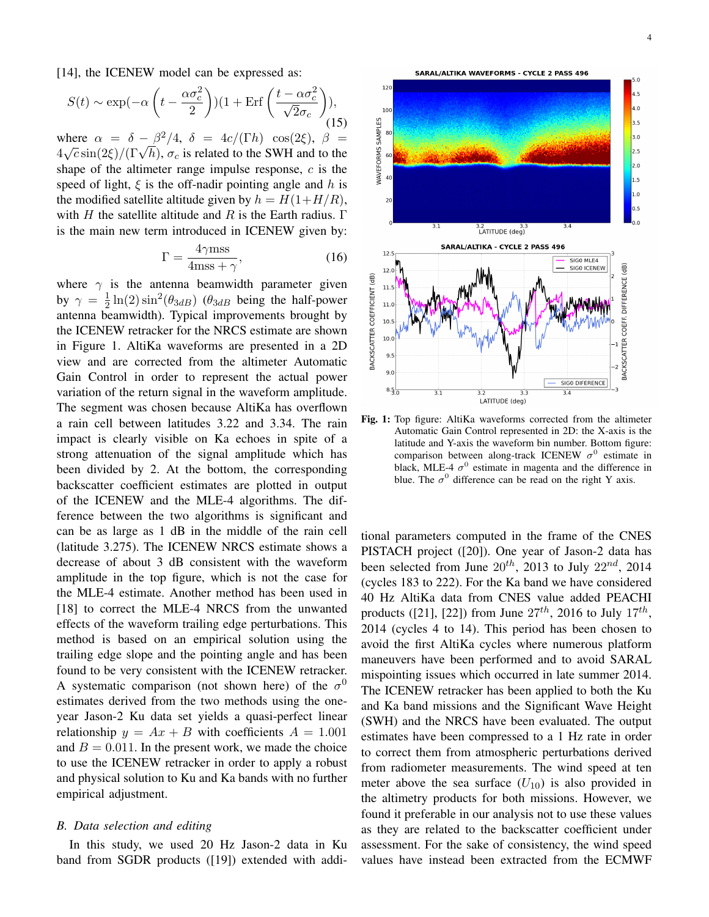[14], the ICENEW model can be expressed as:

$$
S(t) \sim \exp(-\alpha \left( t - \frac{\alpha \sigma_c^2}{2} \right))(1 + \text{Erf}\left(\frac{t - \alpha \sigma_c^2}{\sqrt{2}\sigma_c} \right)),\tag{15}
$$

where  $\alpha = \delta - \beta^2/4$ ,  $\delta = 4c/(\Gamma h) \cos(2\xi)$ ,  $\beta =$ where  $\alpha = \delta - \beta^2/4$ ,  $\delta = 4c/(1 \pi) \cos(2\xi)$ ,  $\beta = 4\sqrt{c} \sin(2\xi)/(\Gamma \sqrt{h})$ ,  $\sigma_c$  is related to the SWH and to the shape of the altimeter range impulse response,  $c$  is the speed of light,  $\xi$  is the off-nadir pointing angle and h is the modified satellite altitude given by  $h = H(1+H/R)$ , with H the satellite altitude and R is the Earth radius.  $\Gamma$ is the main new term introduced in ICENEW given by:

$$
\Gamma = \frac{4\gamma \text{mss}}{4\text{mss} + \gamma},\tag{16}
$$

where  $\gamma$  is the antenna beamwidth parameter given by  $\gamma = \frac{1}{2}$  $\frac{1}{2} \ln(2) \sin^2(\theta_{3dB})$  ( $\theta_{3dB}$  being the half-power antenna beamwidth). Typical improvements brought by the ICENEW retracker for the NRCS estimate are shown in Figure 1. AltiKa waveforms are presented in a 2D view and are corrected from the altimeter Automatic Gain Control in order to represent the actual power variation of the return signal in the waveform amplitude. The segment was chosen because AltiKa has overflown a rain cell between latitudes 3.22 and 3.34. The rain impact is clearly visible on Ka echoes in spite of a strong attenuation of the signal amplitude which has been divided by 2. At the bottom, the corresponding backscatter coefficient estimates are plotted in output of the ICENEW and the MLE-4 algorithms. The difference between the two algorithms is significant and can be as large as 1 dB in the middle of the rain cell (latitude 3.275). The ICENEW NRCS estimate shows a decrease of about 3 dB consistent with the waveform amplitude in the top figure, which is not the case for the MLE-4 estimate. Another method has been used in [18] to correct the MLE-4 NRCS from the unwanted effects of the waveform trailing edge perturbations. This method is based on an empirical solution using the trailing edge slope and the pointing angle and has been found to be very consistent with the ICENEW retracker. A systematic comparison (not shown here) of the  $\sigma^0$ estimates derived from the two methods using the oneyear Jason-2 Ku data set yields a quasi-perfect linear relationship  $y = Ax + B$  with coefficients  $A = 1.001$ and  $B = 0.011$ . In the present work, we made the choice to use the ICENEW retracker in order to apply a robust and physical solution to Ku and Ka bands with no further empirical adjustment.

#### *B. Data selection and editing*

In this study, we used 20 Hz Jason-2 data in Ku band from SGDR products ([19]) extended with addi-



Fig. 1: Top figure: AltiKa waveforms corrected from the altimeter Automatic Gain Control represented in 2D: the X-axis is the latitude and Y-axis the waveform bin number. Bottom figure: comparison between along-track ICENEW  $\sigma^0$  estimate in black, MLE-4  $\sigma^0$  estimate in magenta and the difference in blue. The  $\sigma^0$  difference can be read on the right Y axis.

tional parameters computed in the frame of the CNES PISTACH project ([20]). One year of Jason-2 data has been selected from June  $20^{th}$ , 2013 to July  $22^{nd}$ , 2014 (cycles 183 to 222). For the Ka band we have considered 40 Hz AltiKa data from CNES value added PEACHI products ([21], [22]) from June  $27^{th}$ , 2016 to July  $17^{th}$ , 2014 (cycles 4 to 14). This period has been chosen to avoid the first AltiKa cycles where numerous platform maneuvers have been performed and to avoid SARAL mispointing issues which occurred in late summer 2014. The ICENEW retracker has been applied to both the Ku and Ka band missions and the Significant Wave Height (SWH) and the NRCS have been evaluated. The output estimates have been compressed to a 1 Hz rate in order to correct them from atmospheric perturbations derived from radiometer measurements. The wind speed at ten meter above the sea surface  $(U_{10})$  is also provided in the altimetry products for both missions. However, we found it preferable in our analysis not to use these values as they are related to the backscatter coefficient under assessment. For the sake of consistency, the wind speed values have instead been extracted from the ECMWF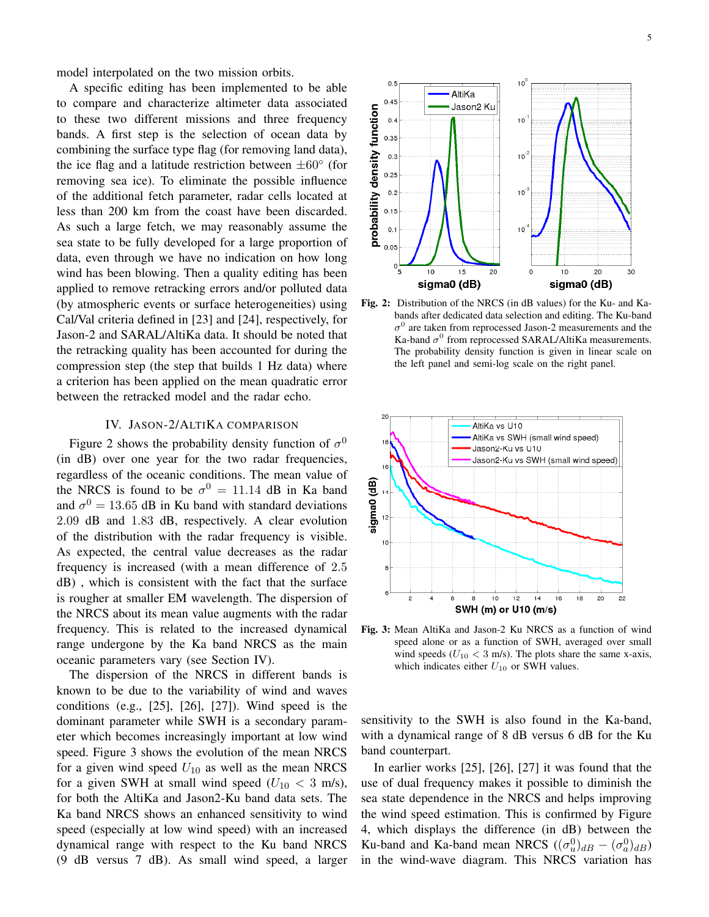model interpolated on the two mission orbits.

A specific editing has been implemented to be able to compare and characterize altimeter data associated to these two different missions and three frequency bands. A first step is the selection of ocean data by combining the surface type flag (for removing land data), the ice flag and a latitude restriction between  $\pm 60^\circ$  (for removing sea ice). To eliminate the possible influence of the additional fetch parameter, radar cells located at less than 200 km from the coast have been discarded. As such a large fetch, we may reasonably assume the sea state to be fully developed for a large proportion of data, even through we have no indication on how long wind has been blowing. Then a quality editing has been applied to remove retracking errors and/or polluted data (by atmospheric events or surface heterogeneities) using Cal/Val criteria defined in [23] and [24], respectively, for Jason-2 and SARAL/AltiKa data. It should be noted that the retracking quality has been accounted for during the compression step (the step that builds 1 Hz data) where a criterion has been applied on the mean quadratic error between the retracked model and the radar echo.

#### IV. JASON-2/ALTIKA COMPARISON

Figure 2 shows the probability density function of  $\sigma^0$ (in dB) over one year for the two radar frequencies, regardless of the oceanic conditions. The mean value of the NRCS is found to be  $\sigma^0 = 11.14$  dB in Ka band and  $\sigma^0 = 13.65$  dB in Ku band with standard deviations 2.09 dB and 1.83 dB, respectively. A clear evolution of the distribution with the radar frequency is visible. As expected, the central value decreases as the radar frequency is increased (with a mean difference of 2.5 dB) , which is consistent with the fact that the surface is rougher at smaller EM wavelength. The dispersion of the NRCS about its mean value augments with the radar frequency. This is related to the increased dynamical range undergone by the Ka band NRCS as the main oceanic parameters vary (see Section IV).

The dispersion of the NRCS in different bands is known to be due to the variability of wind and waves conditions (e.g., [25], [26], [27]). Wind speed is the dominant parameter while SWH is a secondary parameter which becomes increasingly important at low wind speed. Figure 3 shows the evolution of the mean NRCS for a given wind speed  $U_{10}$  as well as the mean NRCS for a given SWH at small wind speed  $(U_{10} < 3 \text{ m/s})$ , for both the AltiKa and Jason2-Ku band data sets. The Ka band NRCS shows an enhanced sensitivity to wind speed (especially at low wind speed) with an increased dynamical range with respect to the Ku band NRCS (9 dB versus 7 dB). As small wind speed, a larger



Fig. 2: Distribution of the NRCS (in dB values) for the Ku- and Kabands after dedicated data selection and editing. The Ku-band  $\sigma^0$  are taken from reprocessed Jason-2 measurements and the Ka-band  $\sigma^0$  from reprocessed SARAL/AltiKa measurements. The probability density function is given in linear scale on the left panel and semi-log scale on the right panel.



Fig. 3: Mean AltiKa and Jason-2 Ku NRCS as a function of wind speed alone or as a function of SWH, averaged over small wind speeds ( $U_{10}$  < 3 m/s). The plots share the same x-axis, which indicates either  $U_{10}$  or SWH values.

sensitivity to the SWH is also found in the Ka-band, with a dynamical range of 8 dB versus 6 dB for the Ku band counterpart.

In earlier works [25], [26], [27] it was found that the use of dual frequency makes it possible to diminish the sea state dependence in the NRCS and helps improving the wind speed estimation. This is confirmed by Figure 4, which displays the difference (in dB) between the Ku-band and Ka-band mean NRCS  $((\sigma_u^0)_{dB} - (\sigma_a^0)_{dB})$ in the wind-wave diagram. This NRCS variation has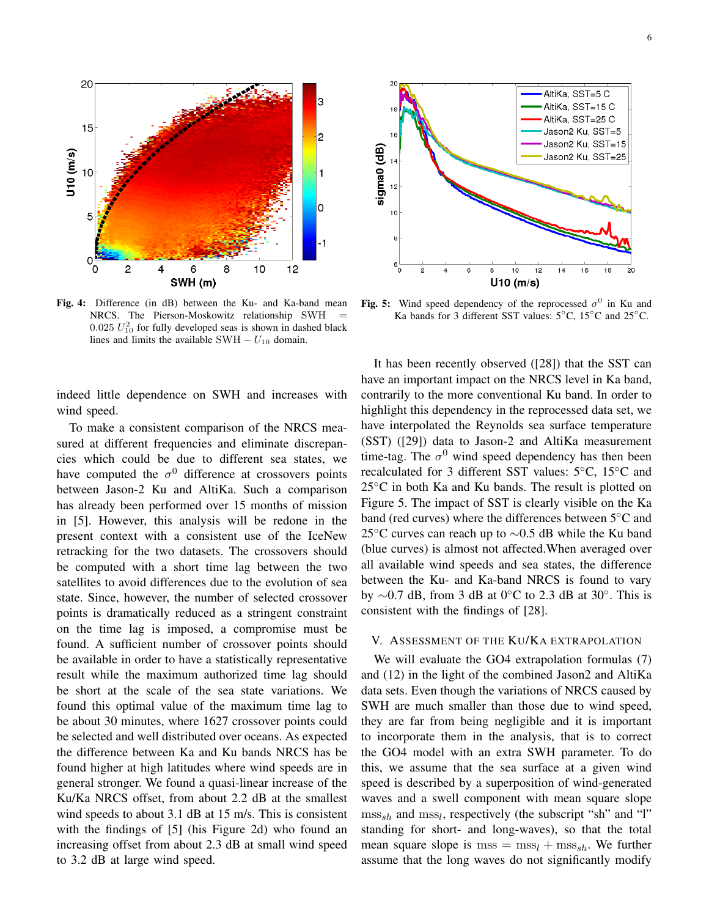

Fig. 4: Difference (in dB) between the Ku- and Ka-band mean NRCS. The Pierson-Moskowitz relationship SWH =  $0.025$   $U_{10}^2$  for fully developed seas is shown in dashed black lines and limits the available SWH  $- U_{10}$  domain.

indeed little dependence on SWH and increases with wind speed.

To make a consistent comparison of the NRCS measured at different frequencies and eliminate discrepancies which could be due to different sea states, we have computed the  $\sigma^0$  difference at crossovers points between Jason-2 Ku and AltiKa. Such a comparison has already been performed over 15 months of mission in [5]. However, this analysis will be redone in the present context with a consistent use of the IceNew retracking for the two datasets. The crossovers should be computed with a short time lag between the two satellites to avoid differences due to the evolution of sea state. Since, however, the number of selected crossover points is dramatically reduced as a stringent constraint on the time lag is imposed, a compromise must be found. A sufficient number of crossover points should be available in order to have a statistically representative result while the maximum authorized time lag should be short at the scale of the sea state variations. We found this optimal value of the maximum time lag to be about 30 minutes, where 1627 crossover points could be selected and well distributed over oceans. As expected the difference between Ka and Ku bands NRCS has be found higher at high latitudes where wind speeds are in general stronger. We found a quasi-linear increase of the Ku/Ka NRCS offset, from about 2.2 dB at the smallest wind speeds to about 3.1 dB at 15 m/s. This is consistent with the findings of [5] (his Figure 2d) who found an increasing offset from about 2.3 dB at small wind speed to 3.2 dB at large wind speed.



Fig. 5: Wind speed dependency of the reprocessed  $\sigma^0$  in Ku and Ka bands for 3 different SST values: 5◦C, 15◦C and 25◦C.

It has been recently observed ([28]) that the SST can have an important impact on the NRCS level in Ka band, contrarily to the more conventional Ku band. In order to highlight this dependency in the reprocessed data set, we have interpolated the Reynolds sea surface temperature (SST) ([29]) data to Jason-2 and AltiKa measurement time-tag. The  $\sigma^0$  wind speed dependency has then been recalculated for 3 different SST values: 5◦C, 15◦C and  $25^{\circ}$ C in both Ka and Ku bands. The result is plotted on Figure 5. The impact of SST is clearly visible on the Ka band (red curves) where the differences between 5◦C and 25 $\degree$ C curves can reach up to  $\sim$ 0.5 dB while the Ku band (blue curves) is almost not affected.When averaged over all available wind speeds and sea states, the difference between the Ku- and Ka-band NRCS is found to vary by  $\sim$ 0.7 dB, from 3 dB at 0<sup>°</sup>C to 2.3 dB at 30<sup>°</sup>. This is consistent with the findings of [28].

#### V. ASSESSMENT OF THE KU/KA EXTRAPOLATION

We will evaluate the GO4 extrapolation formulas (7) and (12) in the light of the combined Jason2 and AltiKa data sets. Even though the variations of NRCS caused by SWH are much smaller than those due to wind speed, they are far from being negligible and it is important to incorporate them in the analysis, that is to correct the GO4 model with an extra SWH parameter. To do this, we assume that the sea surface at a given wind speed is described by a superposition of wind-generated waves and a swell component with mean square slope  $\text{mss}_{sh}$  and  $\text{mss}_l$ , respectively (the subscript "sh" and "l" standing for short- and long-waves), so that the total mean square slope is  $\text{mss} = \text{mss}_l + \text{mss}_{sh}$ . We further assume that the long waves do not significantly modify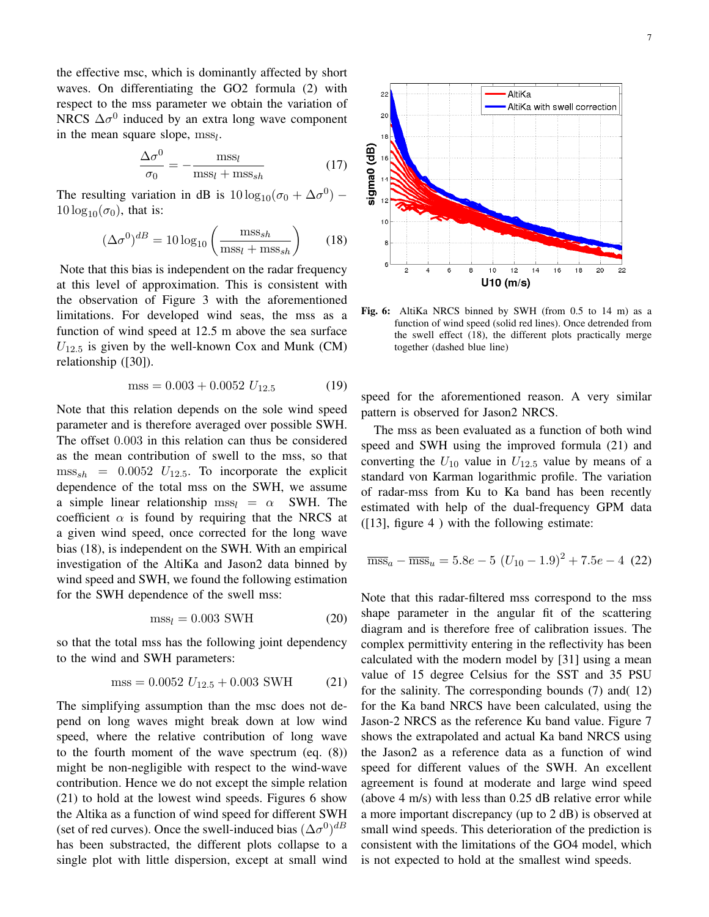the effective msc, which is dominantly affected by short waves. On differentiating the GO2 formula (2) with respect to the mss parameter we obtain the variation of NRCS  $\Delta \sigma^0$  induced by an extra long wave component in the mean square slope,  $\text{mss}_l$ .

$$
\frac{\Delta \sigma^0}{\sigma_0} = -\frac{\text{mss}_l}{\text{mss}_l + \text{mss}_{sh}}\tag{17}
$$

The resulting variation in dB is  $10 \log_{10}(\sigma_0 + \Delta \sigma^0)$  –  $10 \log_{10}(\sigma_0)$ , that is:

$$
(\Delta \sigma^0)^{dB} = 10 \log_{10} \left( \frac{\text{mss}_{sh}}{\text{mss}_l + \text{mss}_{sh}} \right) \tag{18}
$$

Note that this bias is independent on the radar frequency at this level of approximation. This is consistent with the observation of Figure 3 with the aforementioned limitations. For developed wind seas, the mss as a function of wind speed at 12.5 m above the sea surface  $U_{12.5}$  is given by the well-known Cox and Munk (CM) relationship ([30]).

$$
mss = 0.003 + 0.0052 U_{12.5}
$$
 (19)

Note that this relation depends on the sole wind speed parameter and is therefore averaged over possible SWH. The offset 0.003 in this relation can thus be considered as the mean contribution of swell to the mss, so that  $\text{mss}_{sh}$  = 0.0052  $U_{12.5}$ . To incorporate the explicit dependence of the total mss on the SWH, we assume a simple linear relationship  $\text{msg}_l = \alpha$  SWH. The coefficient  $\alpha$  is found by requiring that the NRCS at a given wind speed, once corrected for the long wave bias (18), is independent on the SWH. With an empirical investigation of the AltiKa and Jason2 data binned by wind speed and SWH, we found the following estimation for the SWH dependence of the swell mss:

$$
mss_l = 0.003 \text{ SWH} \tag{20}
$$

so that the total mss has the following joint dependency to the wind and SWH parameters:

$$
mss = 0.0052 U_{12.5} + 0.003 SWH \qquad (21)
$$

The simplifying assumption than the msc does not depend on long waves might break down at low wind speed, where the relative contribution of long wave to the fourth moment of the wave spectrum (eq. (8)) might be non-negligible with respect to the wind-wave contribution. Hence we do not except the simple relation (21) to hold at the lowest wind speeds. Figures 6 show the Altika as a function of wind speed for different SWH (set of red curves). Once the swell-induced bias  $(\Delta \sigma^0)^{dB}$ has been substracted, the different plots collapse to a single plot with little dispersion, except at small wind



Fig. 6: AltiKa NRCS binned by SWH (from 0.5 to 14 m) as a function of wind speed (solid red lines). Once detrended from the swell effect (18), the different plots practically merge together (dashed blue line)

speed for the aforementioned reason. A very similar pattern is observed for Jason2 NRCS.

The mss as been evaluated as a function of both wind speed and SWH using the improved formula (21) and converting the  $U_{10}$  value in  $U_{12.5}$  value by means of a standard von Karman logarithmic profile. The variation of radar-mss from Ku to Ka band has been recently estimated with help of the dual-frequency GPM data  $(13)$ , figure 4) with the following estimate:

$$
\overline{\text{mss}}_a - \overline{\text{mss}}_u = 5.8e - 5\ (U_{10} - 1.9)^2 + 7.5e - 4\ (22)
$$

Note that this radar-filtered mss correspond to the mss shape parameter in the angular fit of the scattering diagram and is therefore free of calibration issues. The complex permittivity entering in the reflectivity has been calculated with the modern model by [31] using a mean value of 15 degree Celsius for the SST and 35 PSU for the salinity. The corresponding bounds (7) and( 12) for the Ka band NRCS have been calculated, using the Jason-2 NRCS as the reference Ku band value. Figure 7 shows the extrapolated and actual Ka band NRCS using the Jason2 as a reference data as a function of wind speed for different values of the SWH. An excellent agreement is found at moderate and large wind speed (above 4 m/s) with less than 0.25 dB relative error while a more important discrepancy (up to 2 dB) is observed at small wind speeds. This deterioration of the prediction is consistent with the limitations of the GO4 model, which is not expected to hold at the smallest wind speeds.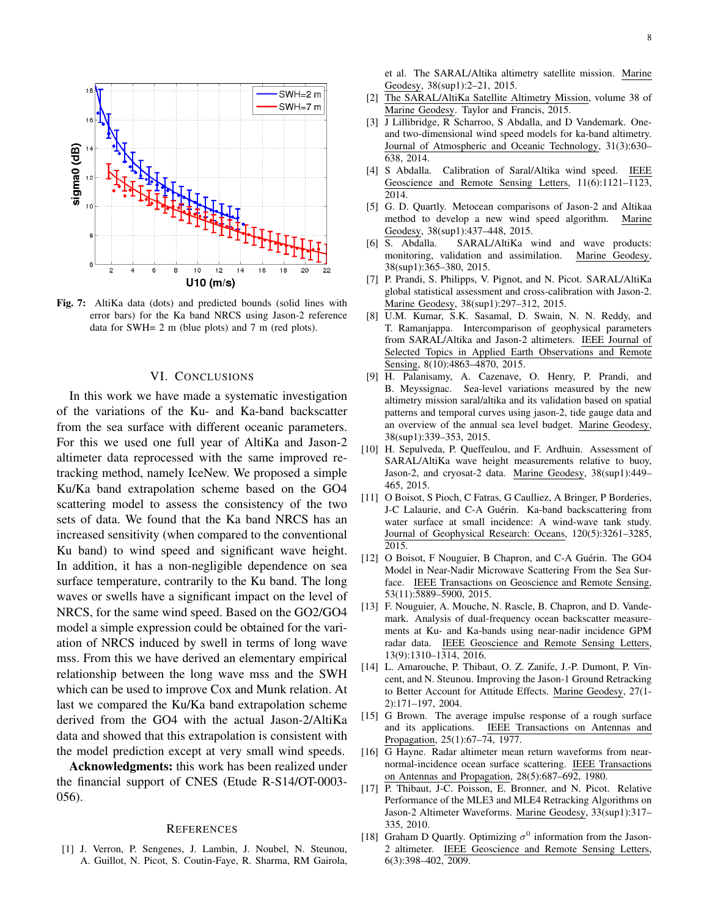

Fig. 7: AltiKa data (dots) and predicted bounds (solid lines with error bars) for the Ka band NRCS using Jason-2 reference data for SWH= 2 m (blue plots) and 7 m (red plots).

#### VI. CONCLUSIONS

In this work we have made a systematic investigation of the variations of the Ku- and Ka-band backscatter from the sea surface with different oceanic parameters. For this we used one full year of AltiKa and Jason-2 altimeter data reprocessed with the same improved retracking method, namely IceNew. We proposed a simple Ku/Ka band extrapolation scheme based on the GO4 scattering model to assess the consistency of the two sets of data. We found that the Ka band NRCS has an increased sensitivity (when compared to the conventional Ku band) to wind speed and significant wave height. In addition, it has a non-negligible dependence on sea surface temperature, contrarily to the Ku band. The long waves or swells have a significant impact on the level of NRCS, for the same wind speed. Based on the GO2/GO4 model a simple expression could be obtained for the variation of NRCS induced by swell in terms of long wave mss. From this we have derived an elementary empirical relationship between the long wave mss and the SWH which can be used to improve Cox and Munk relation. At last we compared the Ku/Ka band extrapolation scheme derived from the GO4 with the actual Jason-2/AltiKa data and showed that this extrapolation is consistent with the model prediction except at very small wind speeds.

Acknowledgments: this work has been realized under the financial support of CNES (Etude R-S14/OT-0003- 056).

#### **REFERENCES**

[1] J. Verron, P. Sengenes, J. Lambin, J. Noubel, N. Steunou, A. Guillot, N. Picot, S. Coutin-Faye, R. Sharma, RM Gairola, et al. The SARAL/Altika altimetry satellite mission. Marine Geodesy, 38(sup1):2–21, 2015.

- [2] The SARAL/AltiKa Satellite Altimetry Mission, volume 38 of Marine Geodesy. Taylor and Francis, 2015.
- [3] J Lillibridge, R Scharroo, S Abdalla, and D Vandemark. Oneand two-dimensional wind speed models for ka-band altimetry. Journal of Atmospheric and Oceanic Technology, 31(3):630– 638, 2014.
- [4] S Abdalla. Calibration of Saral/Altika wind speed. IEEE Geoscience and Remote Sensing Letters, 11(6):1121–1123, 2014.
- [5] G. D. Quartly. Metocean comparisons of Jason-2 and Altikaa method to develop a new wind speed algorithm. Marine Geodesy, 38(sup1):437–448, 2015.
- [6] S. Abdalla. SARAL/AltiKa wind and wave products: monitoring, validation and assimilation. Marine Geodesy, 38(sup1):365–380, 2015.
- [7] P. Prandi, S. Philipps, V. Pignot, and N. Picot. SARAL/AltiKa global statistical assessment and cross-calibration with Jason-2. Marine Geodesy, 38(sup1):297–312, 2015.
- [8] U.M. Kumar, S.K. Sasamal, D. Swain, N. N. Reddy, and T. Ramanjappa. Intercomparison of geophysical parameters from SARAL/Altika and Jason-2 altimeters. IEEE Journal of Selected Topics in Applied Earth Observations and Remote Sensing, 8(10):4863-4870, 2015.
- [9] H. Palanisamy, A. Cazenave, O. Henry, P. Prandi, and B. Meyssignac. Sea-level variations measured by the new altimetry mission saral/altika and its validation based on spatial patterns and temporal curves using jason-2, tide gauge data and an overview of the annual sea level budget. Marine Geodesy, 38(sup1):339–353, 2015.
- [10] H. Sepulveda, P. Queffeulou, and F. Ardhuin. Assessment of SARAL/AltiKa wave height measurements relative to buoy, Jason-2, and cryosat-2 data. Marine Geodesy, 38(sup1):449– 465, 2015.
- [11] O Boisot, S Pioch, C Fatras, G Caulliez, A Bringer, P Borderies, J-C Lalaurie, and C-A Guérin. Ka-band backscattering from water surface at small incidence: A wind-wave tank study. Journal of Geophysical Research: Oceans, 120(5):3261–3285, 2015.
- [12] O Boisot, F Nouguier, B Chapron, and C-A Guérin. The GO4 Model in Near-Nadir Microwave Scattering From the Sea Surface. IEEE Transactions on Geoscience and Remote Sensing, 53(11):5889–5900, 2015.
- [13] F. Nouguier, A. Mouche, N. Rascle, B. Chapron, and D. Vandemark. Analysis of dual-frequency ocean backscatter measurements at Ku- and Ka-bands using near-nadir incidence GPM radar data. IEEE Geoscience and Remote Sensing Letters, 13(9):1310–1314, 2016.
- [14] L. Amarouche, P. Thibaut, O. Z. Zanife, J.-P. Dumont, P. Vincent, and N. Steunou. Improving the Jason-1 Ground Retracking to Better Account for Attitude Effects. Marine Geodesy, 27(1- 2):171–197, 2004.
- [15] G Brown. The average impulse response of a rough surface and its applications. IEEE Transactions on Antennas and Propagation, 25(1):67–74, 1977.
- [16] G Hayne. Radar altimeter mean return waveforms from nearnormal-incidence ocean surface scattering. IEEE Transactions on Antennas and Propagation, 28(5):687–692, 1980.
- [17] P. Thibaut, J-C. Poisson, E. Bronner, and N. Picot. Relative Performance of the MLE3 and MLE4 Retracking Algorithms on Jason-2 Altimeter Waveforms. Marine Geodesy, 33(sup1):317– 335, 2010.
- [18] Graham D Quartly. Optimizing  $\sigma^0$  information from the Jason-2 altimeter. IEEE Geoscience and Remote Sensing Letters, 6(3):398–402, 2009.